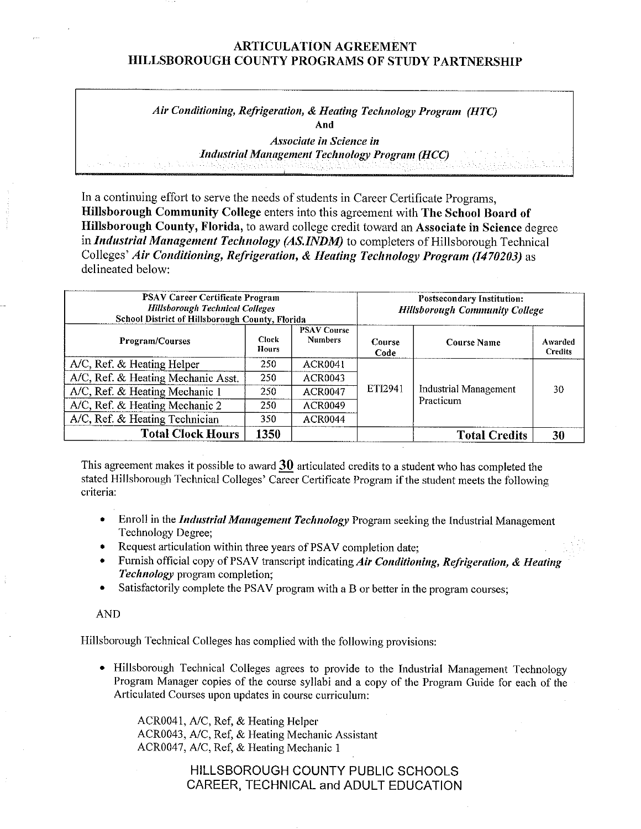## **ARTICULATION AGREEMENT HILLSBOROUGH COUNTY PROGRAMS OF STUDY PARTNERSHIP**

#### *Air Conditioning, Refrigeration,* & *Heating Technology Program (HTC)*  **And**

*Associate in Science in Industrial Management Technology Program (HCC)* 

In a continuing effort to serve the needs of students in Career Certificate Programs, **Hillsborough Community College** enters into this agreement with **The School Board of Hillsborough County, Florida,** to award college credit toward an **Associate in Science** degree in *Industrial Management Technology (AS.INDM)* to completers of Hillsborough Technical Colleges' *Air Conditioning, Refrigeration, & Heating Technology Program (1470203)* as delineated below:

| <b>PSAV Career Certificate Program</b><br><b>Hillsborough Technical Colleges</b><br>School District of Hillsborough County, Florida |                       |                                      |                | Postsecondary Institution:<br><b>Hillsborough Community College</b> |                           |  |
|-------------------------------------------------------------------------------------------------------------------------------------|-----------------------|--------------------------------------|----------------|---------------------------------------------------------------------|---------------------------|--|
| <b>Program/Courses</b>                                                                                                              | <b>Clock</b><br>Hours | <b>PSAV Course</b><br><b>Numbers</b> | Course<br>Code | <b>Course Name</b>                                                  | Awarded<br><b>Credits</b> |  |
| A/C, Ref. & Heating Helper                                                                                                          | 250                   | <b>ACR0041</b>                       | ETI2941        | <b>Industrial Management</b><br>Practicum                           | 30                        |  |
| A/C, Ref. & Heating Mechanic Asst.                                                                                                  | 250                   | ACR0043                              |                |                                                                     |                           |  |
| A/C, Ref. & Heating Mechanic 1                                                                                                      | 250                   | <b>ACR0047</b>                       |                |                                                                     |                           |  |
| A/C, Ref. & Heating Mechanic 2                                                                                                      | 250                   | ACR0049                              |                |                                                                     |                           |  |
| A/C, Ref. & Heating Technician                                                                                                      | 350                   | ACR0044                              |                |                                                                     |                           |  |
| <b>Total Clock Hours</b>                                                                                                            | 1350                  |                                      |                | <b>Total Credits</b>                                                | 30                        |  |

This agreement makes it possible to award **30** articulated credits to a student who has completed the stated Hillsborough Technical Colleges' Career Certificate Program if the student meets the following criteria:

- Enroll in the *Industrial Management Technology* Program seeking the Industrial Management Technology Degree;
- Request articulation within three years of PSAV completion date;
- Furnish official copy ofPSAV transcript indicating *Air Conditioning, Refrigeration,* & *Heating Technology* program completion;
- Satisfactorily complete the PSAV program with a B or better in the program courses;

#### AND

Hillsborough Technical Colleges has complied with the following provisions:

• Hillsborough Technical Colleges agrees to provide to the Industrial Management Technology Program Manager copies of the course syllabi and a copy of the Program Guide for each of the Articulated Courses upon updates in course curriculum:

ACR0041, A/C, Ref, & Heating Helper ACR0043, A/C, Ref, & Heating Mechanic Assistant ACR0047, A/C, Ref, & Heating Mechanic 1

> HILLSBOROUGH COUNTY PUBLIC SCHOOLS CAREER, TECHNICAL and ADULT EDUCATION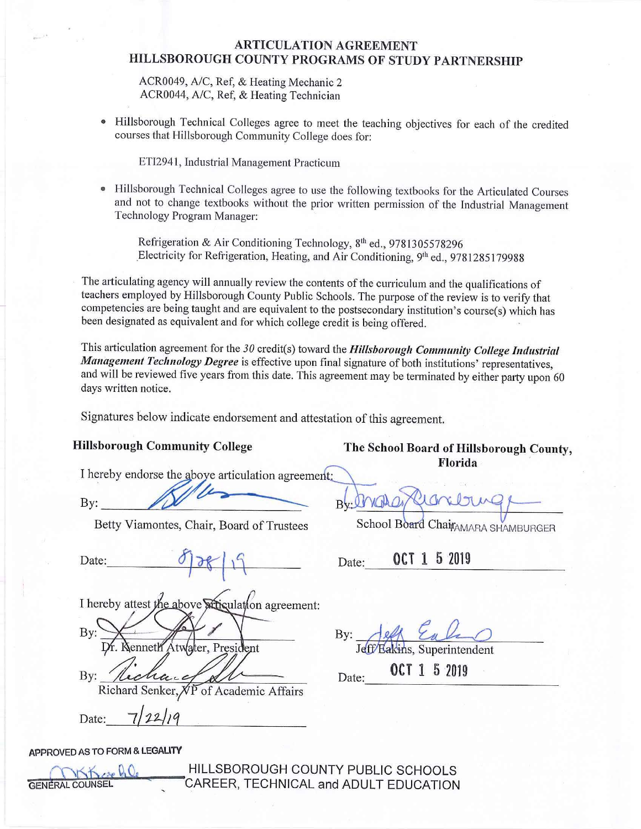## **ARTICULATION AGREEMENT HILLSBOROUGH COUNTY PROGRAMS OF STUDY PARTNERSHIP**

ACR0049, A/C, Ref, & Heating Mechanic 2 ACR0044, A/C, Ref, & Heating Technician

• Hillsborough Technical Colleges agree to meet the teaching objectives for each of the credited courses that Hillsborough Community College does for:

ETI294 l, Industrial Management Practicum

• Hillsborough Technical Colleges agree to use the following textbooks for the Articulated Courses and not to change textbooks without the prior written permission of the Industrial Management Technology Program Manager:

Refrigeration & Air Conditioning Technology, 8<sup>th</sup> ed., 9781305578296 Electricity for Refrigeration, Heating, and Air Conditioning, 9<sup>th</sup> ed., 9781285179988

The articulating agency will annually review the contents of the curriculum and the qualifications of teachers employed by Hillsborough County Public Schools. The purpose of the review is to verify that competencies are being taught and are equivalent to the postsecondary institution's course(s) which has been designated as equivalent and for which college credit is being offered.

This articulation agreement for the 30 credit(s) toward the *Hillsborough Community College Industrial Management Technology Degree* is effective upon final signature of both institutions' representatives, and will be reviewed five years from this date. This agreement may be terminated by either patty upon 60 days written notice.

Signatures below indicate endorsement and attestation of this agreement.

I hereby endorse the aboye articulation agreement:

Betty Viamontes, Chair, Board of Trustees School Board Chair AMARA SHAMBURGER

Date:  $\begin{array}{|c|c|c|c|c|}\n\hline\n\text{Date:} & \text{if $\mathcal{S}$} & \text{if $\mathcal{S}$.} & \text{Date:} & \text{OCT 1 5 2019}\n\hline\n\end{array}$ 

I hereby attest the above articulation agreement:

Bv: enneth ater. President

Bv: Richard Senker,  $\sqrt{\overline{P}}$  of Academic Affairs<br>Date:  $\frac{7}{22/19}$ 

**APPROVED AS TO FORM** & **LEGAL\TV** 

**interval counsel Public SCHOOLS** "HILLSBOROUGH COUNTY PUBLIC SCHOOLS" "CAREER, TECHNICAL and ADULT EDUCATION

**Hillsborough Community College The School Board of Hillsborough County, Florida** 

Exercise of the sensor Board of Hillsborough Count<br>
By:<br>
By: Betty Viamontes. Chair. Board of Trustees<br>
Betty Viamontes. Chair. Board of Trustees<br>
Betty Viamontes. Chair. Board of Trustees<br>
Behool Board Chair

Date: **0CT 1 5 2019**<br>By: **Jeff/Eakins**, Superintendent akins, Superintendent

Date: 0CT 1 5 2019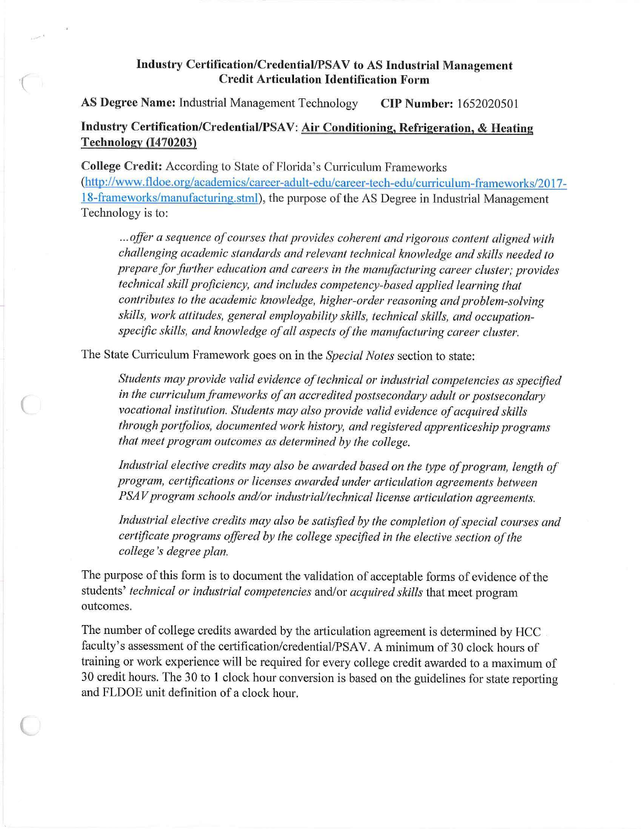### **Industry Certification/Credential/PSA V to AS Industrial Management Credit Articulation Identification Form**

**AS Degree Name:** Industrial Management Technology **CIP Number:** 1652020501

**Industry Certification/Credential/PSAV: Air Conditioning, Refrigeration, & Heating Technology {1470203)** 

**College Credit:** According to State of Florida's Curriculum Frameworks (http://www.fldoe.org/academics/career-adult-edu/career-tech-edu/curriculum-frameworks/2017-18-frameworks/manufacturing.stml), the purpose of the AS Degree in Industrial Management Technology is to:

... offer a sequence of courses that provides coherent and rigorous content aligned with *challenging academic standards and relevant technical knowledge and skills needed to prepare for further education and careers in the manufacturing career cluster; provides technical skill proficiency, and includes competency-based applied learning that contributes to the academic knowledge, higher-order reasoning and problem-solving skills, work attitudes, general employability skills, technical skills, and occupationspecific skills, and knowledge of all aspects of the manufacturing career cluster.* 

The State Curriculum Framework goes on in the *Special Notes* section to state:

*Students may provide valid evidence oftechnical or industrial competencies as specified in the curriculum frameworks of an accredited postsecondary adult or postsecondary vocational institution. Students may also provide valid evidence of acquired skills through portfolios, documented work history, and registered apprenticeship programs that meet program outcomes as determined by the college.* 

*Industrial elective credits may also be awarded based on the type of program, length of program, certifications or licenses awarded under articulation agreements between PSAV* program schools and/or industrial/technical license articulation agreements.

Industrial elective credits may also be satisfied by the completion of special courses and *certificate programs offered by the college specified in the elective section of the college's degree plan.* 

The purpose of this form is to document the validation of acceptable forms of evidence of the students' *technical or industrial competencies* and/or *acquired skills* that meet program outcomes.

The number of college credits awarded by the articulation agreement is determined by HCC faculty's assessment of the certification/credential/PSAV. A minimum of 30 clock hours of training or work experience will be required for every college credit awarded to a maximum of 30 credit hours. The 30 to 1 clock hour conversion is based on the guidelines for state reporting and FLDOE unit definition of a clock hour.

 $\subset$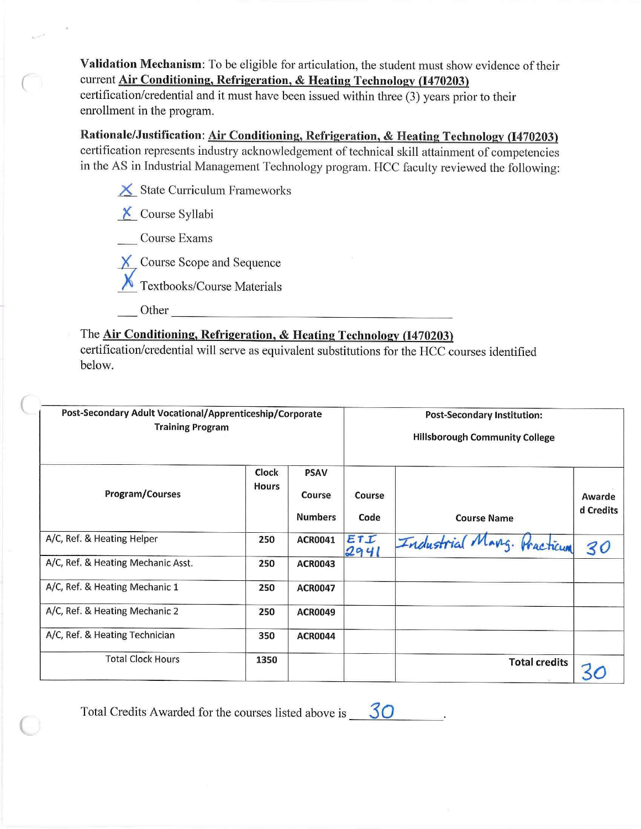Validation Mechanism: To be eligible for articulation, the student must show evidence of their current Air Conditioning, Refrigeration, & Heating Technology (1470203) certification/credential and it must have been issued within three (3) years prior to their enrollment in the program.

Rationale/Justification: Air Conditioning, Refrigeration, & Heating Technology (I470203) certification represents industry acknowledgement of technical skill attainment of competencies in the AS in Industrial Management Technology program. HCC faculty reviewed the following:

- $\angle$  State Curriculum Frameworks
- X Course Syllabi
	- Course Exams
- X Course Scope and Sequence<br>Textbooks/Course Materials

Other

# The Air Conditioning, Refrigeration, & Heating Technology (1470203)

certification/credential will serve as equivalent substitutions for the HCC courses identified below.

| Post-Secondary Adult Vocational/Apprenticeship/Corporate<br><b>Training Program</b> |                       |                                         | <b>Post-Secondary Institution:</b><br><b>Hillsborough Community College</b> |                        |                     |  |
|-------------------------------------------------------------------------------------|-----------------------|-----------------------------------------|-----------------------------------------------------------------------------|------------------------|---------------------|--|
| <b>Program/Courses</b>                                                              | Clock<br><b>Hours</b> | <b>PSAV</b><br>Course<br><b>Numbers</b> | Course<br>Code                                                              | <b>Course Name</b>     | Awarde<br>d Credits |  |
| A/C, Ref. & Heating Helper                                                          | 250                   | <b>ACR0041</b>                          | ETI<br>2941                                                                 | Industrial<br>Wachicum | 30                  |  |
| A/C, Ref. & Heating Mechanic Asst.                                                  | 250                   | <b>ACR0043</b>                          |                                                                             |                        |                     |  |
| A/C, Ref. & Heating Mechanic 1                                                      | 250                   | <b>ACR0047</b>                          |                                                                             |                        |                     |  |
| A/C, Ref. & Heating Mechanic 2                                                      | 250                   | <b>ACR0049</b>                          |                                                                             |                        |                     |  |
| A/C, Ref. & Heating Technician                                                      | 350                   | <b>ACR0044</b>                          |                                                                             |                        |                     |  |
| <b>Total Clock Hours</b>                                                            | 1350                  |                                         |                                                                             | <b>Total credits</b>   |                     |  |

Total Credits Awarded for the courses listed above is  $\frac{30}{5}$